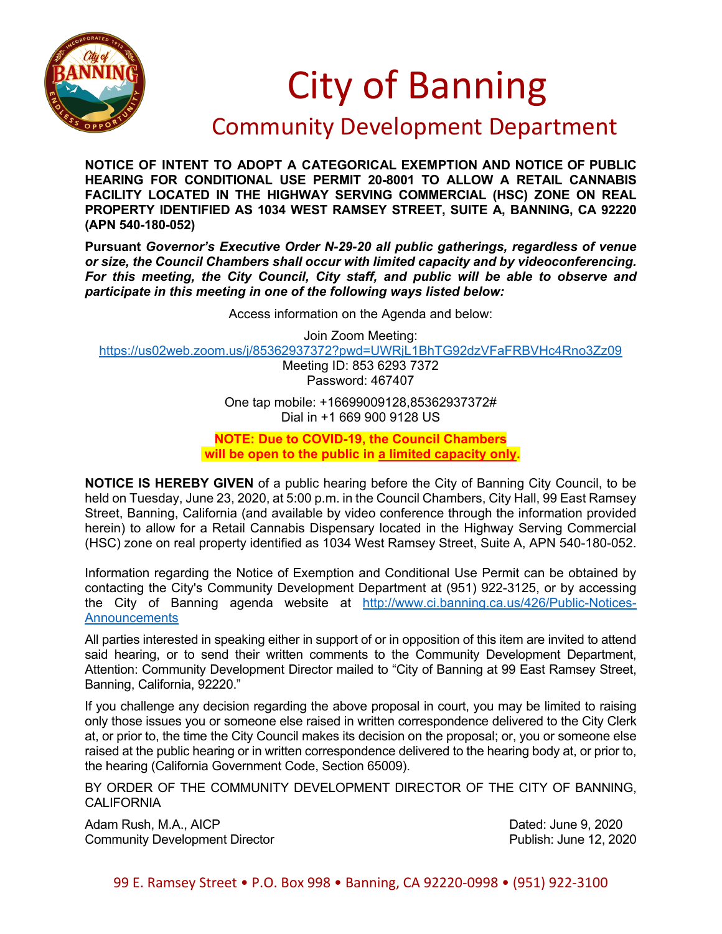

## City of Banning

## Community Development Department

**NOTICE OF INTENT TO ADOPT A CATEGORICAL EXEMPTION AND NOTICE OF PUBLIC HEARING FOR CONDITIONAL USE PERMIT 20-8001 TO ALLOW A RETAIL CANNABIS FACILITY LOCATED IN THE HIGHWAY SERVING COMMERCIAL (HSC) ZONE ON REAL PROPERTY IDENTIFIED AS 1034 WEST RAMSEY STREET, SUITE A, BANNING, CA 92220 (APN 540-180-052)**

**Pursuant** *Governor's Executive Order N-29-20 all public gatherings, regardless of venue or size, the Council Chambers shall occur with limited capacity and by videoconferencing. For this meeting, the City Council, City staff, and public will be able to observe and participate in this meeting in one of the following ways listed below:*

Access information on the Agenda and below:

Join Zoom Meeting:

<https://us02web.zoom.us/j/85362937372?pwd=UWRjL1BhTG92dzVFaFRBVHc4Rno3Zz09>

Meeting ID: 853 6293 7372 Password: 467407

One tap mobile: +16699009128,85362937372# Dial in +1 669 900 9128 US

**NOTE: Due to COVID-19, the Council Chambers will be open to the public in a limited capacity only.**

**NOTICE IS HEREBY GIVEN** of a public hearing before the City of Banning City Council, to be held on Tuesday, June 23, 2020, at 5:00 p.m. in the Council Chambers, City Hall, 99 East Ramsey Street, Banning, California (and available by video conference through the information provided herein) to allow for a Retail Cannabis Dispensary located in the Highway Serving Commercial (HSC) zone on real property identified as 1034 West Ramsey Street, Suite A, APN 540-180-052.

Information regarding the Notice of Exemption and Conditional Use Permit can be obtained by contacting the City's Community Development Department at (951) 922-3125, or by accessing the City of Banning agenda website at [http://www.ci.banning.ca.us/426/Public-Notices-](http://www.ci.banning.ca.us/426/Public-Notices-Announcements)**[Announcements](http://www.ci.banning.ca.us/426/Public-Notices-Announcements)** 

All parties interested in speaking either in support of or in opposition of this item are invited to attend said hearing, or to send their written comments to the Community Development Department, Attention: Community Development Director mailed to "City of Banning at 99 East Ramsey Street, Banning, California, 92220."

If you challenge any decision regarding the above proposal in court, you may be limited to raising only those issues you or someone else raised in written correspondence delivered to the City Clerk at, or prior to, the time the City Council makes its decision on the proposal; or, you or someone else raised at the public hearing or in written correspondence delivered to the hearing body at, or prior to, the hearing (California Government Code, Section 65009).

BY ORDER OF THE COMMUNITY DEVELOPMENT DIRECTOR OF THE CITY OF BANNING, **CALIFORNIA** 

Adam Rush, M.A., AICP **Dated: June 9, 2020** Community Development Director Publish: June 12, 2020

99 E. Ramsey Street • P.O. Box 998 • Banning, CA 92220-0998 • (951) 922-3100